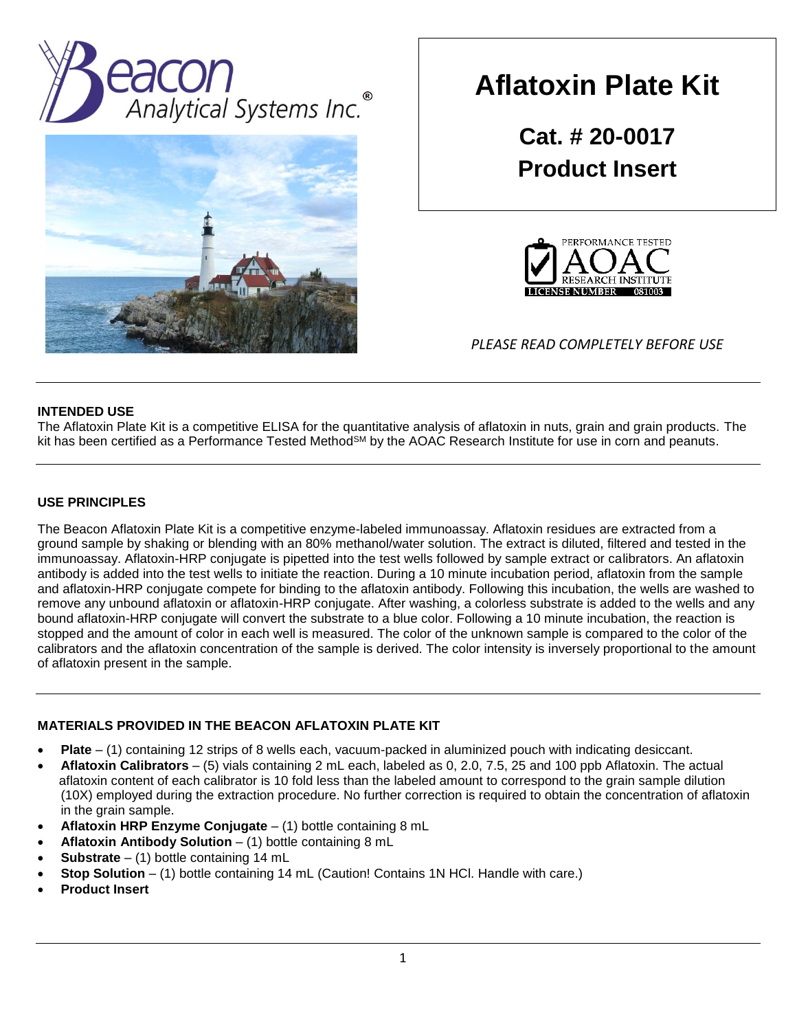



# **Aflatoxin Plate Kit**

**Cat. # 20-0017 Product Insert**



*PLEASE READ COMPLETELY BEFORE USE*

### **INTENDED USE**

The Aflatoxin Plate Kit is a competitive ELISA for the quantitative analysis of aflatoxin in nuts, grain and grain products. The kit has been certified as a Performance Tested Method<sup>SM</sup> by the AOAC Research Institute for use in corn and peanuts.

### **USE PRINCIPLES**

The Beacon Aflatoxin Plate Kit is a competitive enzyme-labeled immunoassay. Aflatoxin residues are extracted from a ground sample by shaking or blending with an 80% methanol/water solution. The extract is diluted, filtered and tested in the immunoassay. Aflatoxin-HRP conjugate is pipetted into the test wells followed by sample extract or calibrators. An aflatoxin antibody is added into the test wells to initiate the reaction. During a 10 minute incubation period, aflatoxin from the sample and aflatoxin-HRP conjugate compete for binding to the aflatoxin antibody. Following this incubation, the wells are washed to remove any unbound aflatoxin or aflatoxin-HRP conjugate. After washing, a colorless substrate is added to the wells and any bound aflatoxin-HRP conjugate will convert the substrate to a blue color. Following a 10 minute incubation, the reaction is stopped and the amount of color in each well is measured. The color of the unknown sample is compared to the color of the calibrators and the aflatoxin concentration of the sample is derived. The color intensity is inversely proportional to the amount of aflatoxin present in the sample.

# **MATERIALS PROVIDED IN THE BEACON AFLATOXIN PLATE KIT**

- **Plate** (1) containing 12 strips of 8 wells each, vacuum-packed in aluminized pouch with indicating desiccant.
- **Aflatoxin Calibrators** (5) vials containing 2 mL each, labeled as 0, 2.0, 7.5, 25 and 100 ppb Aflatoxin. The actual aflatoxin content of each calibrator is 10 fold less than the labeled amount to correspond to the grain sample dilution (10X) employed during the extraction procedure. No further correction is required to obtain the concentration of aflatoxin in the grain sample.
- **Aflatoxin HRP Enzyme Conjugate**  (1) bottle containing 8 mL
- **Aflatoxin Antibody Solution** (1) bottle containing 8 mL
- **Substrate** (1) bottle containing 14 mL
- **Stop Solution** (1) bottle containing 14 mL (Caution! Contains 1N HCl. Handle with care.)
- **Product Insert**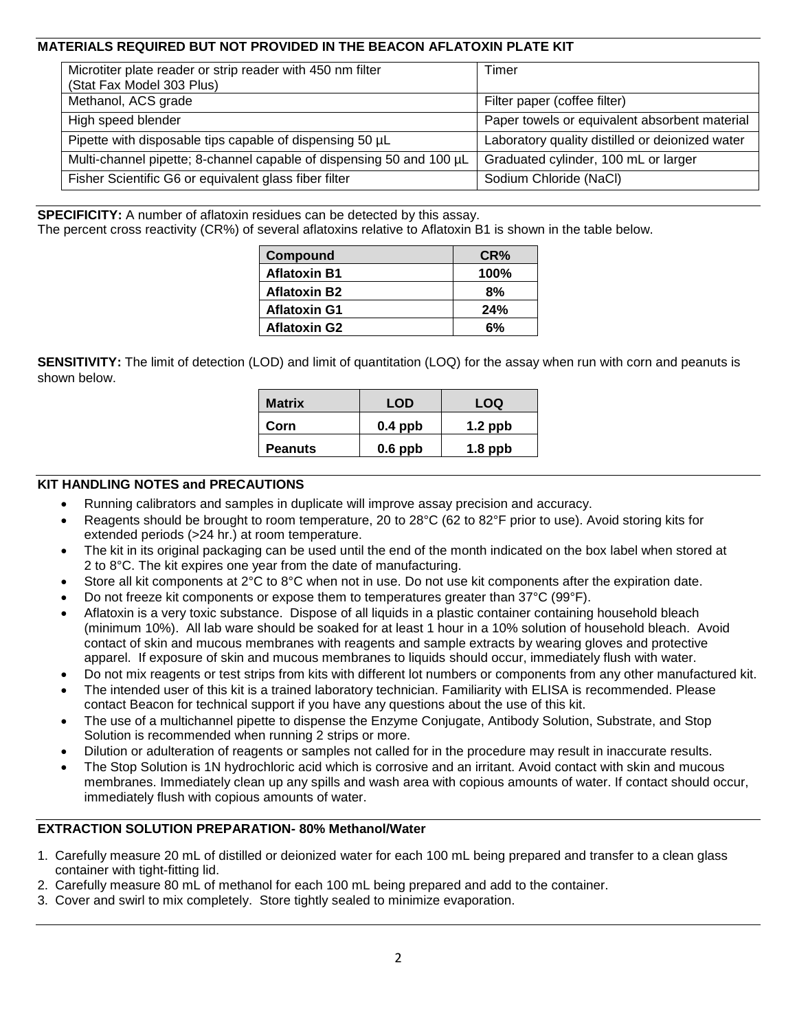# **MATERIALS REQUIRED BUT NOT PROVIDED IN THE BEACON AFLATOXIN PLATE KIT**

| Microtiter plate reader or strip reader with 450 nm filter<br>(Stat Fax Model 303 Plus) | Timer                                           |
|-----------------------------------------------------------------------------------------|-------------------------------------------------|
| Methanol, ACS grade                                                                     | Filter paper (coffee filter)                    |
| High speed blender                                                                      | Paper towels or equivalent absorbent material   |
| Pipette with disposable tips capable of dispensing 50 µL                                | Laboratory quality distilled or deionized water |
| Multi-channel pipette; 8-channel capable of dispensing 50 and 100 µL                    | Graduated cylinder, 100 mL or larger            |
| Fisher Scientific G6 or equivalent glass fiber filter                                   | Sodium Chloride (NaCl)                          |

**SPECIFICITY:** A number of aflatoxin residues can be detected by this assay.

The percent cross reactivity (CR%) of several aflatoxins relative to Aflatoxin B1 is shown in the table below.

| Compound            | CR%     |
|---------------------|---------|
| <b>Aflatoxin B1</b> | $100\%$ |
| <b>Aflatoxin B2</b> | 8%      |
| <b>Aflatoxin G1</b> | 24%     |
| <b>Aflatoxin G2</b> | 6%      |

**SENSITIVITY:** The limit of detection (LOD) and limit of quantitation (LOQ) for the assay when run with corn and peanuts is shown below.

| <b>Matrix</b>  | LOD       | LOQ       |  |  |
|----------------|-----------|-----------|--|--|
| Corn           | $0.4$ ppb | $1.2$ ppb |  |  |
| <b>Peanuts</b> | $0.6$ ppb | $1.8$ ppb |  |  |

#### **KIT HANDLING NOTES and PRECAUTIONS**

- Running calibrators and samples in duplicate will improve assay precision and accuracy.
- Reagents should be brought to room temperature, 20 to 28°C (62 to 82°F prior to use). Avoid storing kits for extended periods (>24 hr.) at room temperature.
- The kit in its original packaging can be used until the end of the month indicated on the box label when stored at 2 to 8°C. The kit expires one year from the date of manufacturing.
- Store all kit components at 2°C to 8°C when not in use. Do not use kit components after the expiration date.
- Do not freeze kit components or expose them to temperatures greater than 37°C (99°F).
- Aflatoxin is a very toxic substance. Dispose of all liquids in a plastic container containing household bleach (minimum 10%). All lab ware should be soaked for at least 1 hour in a 10% solution of household bleach. Avoid contact of skin and mucous membranes with reagents and sample extracts by wearing gloves and protective apparel. If exposure of skin and mucous membranes to liquids should occur, immediately flush with water.
- Do not mix reagents or test strips from kits with different lot numbers or components from any other manufactured kit.
- The intended user of this kit is a trained laboratory technician. Familiarity with ELISA is recommended. Please contact Beacon for technical support if you have any questions about the use of this kit.
- The use of a multichannel pipette to dispense the Enzyme Conjugate, Antibody Solution, Substrate, and Stop Solution is recommended when running 2 strips or more.
- Dilution or adulteration of reagents or samples not called for in the procedure may result in inaccurate results.
- The Stop Solution is 1N hydrochloric acid which is corrosive and an irritant. Avoid contact with skin and mucous membranes. Immediately clean up any spills and wash area with copious amounts of water. If contact should occur, immediately flush with copious amounts of water.

#### **EXTRACTION SOLUTION PREPARATION- 80% Methanol/Water**

- 1. Carefully measure 20 mL of distilled or deionized water for each 100 mL being prepared and transfer to a clean glass container with tight-fitting lid.
- 2. Carefully measure 80 mL of methanol for each 100 mL being prepared and add to the container.
- 3. Cover and swirl to mix completely. Store tightly sealed to minimize evaporation.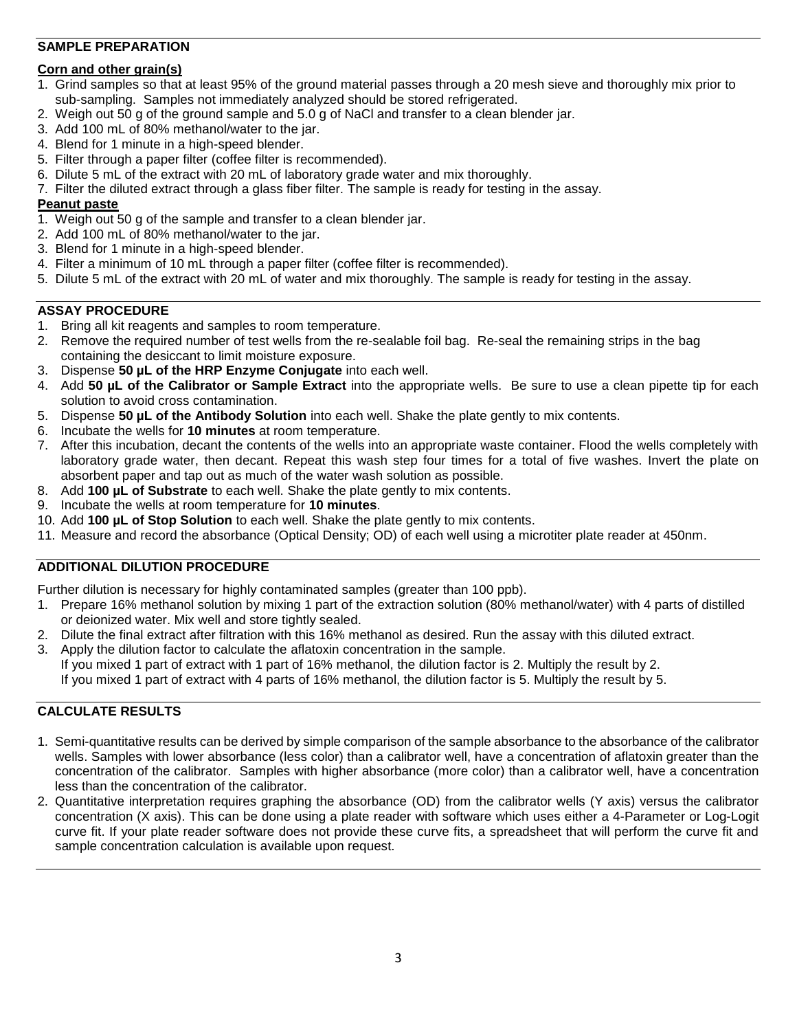# **SAMPLE PREPARATION**

### **Corn and other grain(s)**

- 1. Grind samples so that at least 95% of the ground material passes through a 20 mesh sieve and thoroughly mix prior to sub-sampling. Samples not immediately analyzed should be stored refrigerated.
- 2. Weigh out 50 g of the ground sample and 5.0 g of NaCl and transfer to a clean blender jar.
- 3. Add 100 mL of 80% methanol/water to the jar.
- 4. Blend for 1 minute in a high-speed blender.
- 5. Filter through a paper filter (coffee filter is recommended).
- 6. Dilute 5 mL of the extract with 20 mL of laboratory grade water and mix thoroughly.
- 7. Filter the diluted extract through a glass fiber filter. The sample is ready for testing in the assay.

### **Peanut paste**

- 1. Weigh out 50 g of the sample and transfer to a clean blender jar.
- 2. Add 100 mL of 80% methanol/water to the jar.
- 3. Blend for 1 minute in a high-speed blender.
- 4. Filter a minimum of 10 mL through a paper filter (coffee filter is recommended).
- 5. Dilute 5 mL of the extract with 20 mL of water and mix thoroughly. The sample is ready for testing in the assay.

### **ASSAY PROCEDURE**

- 1. Bring all kit reagents and samples to room temperature.
- 2. Remove the required number of test wells from the re-sealable foil bag. Re-seal the remaining strips in the bag containing the desiccant to limit moisture exposure.
- 3. Dispense **50 µL of the HRP Enzyme Conjugate** into each well.
- 4. Add **50 µL of the Calibrator or Sample Extract** into the appropriate wells. Be sure to use a clean pipette tip for each solution to avoid cross contamination.
- 5. Dispense **50 µL of the Antibody Solution** into each well. Shake the plate gently to mix contents.
- 6. Incubate the wells for **10 minutes** at room temperature.
- 7. After this incubation, decant the contents of the wells into an appropriate waste container. Flood the wells completely with laboratory grade water, then decant. Repeat this wash step four times for a total of five washes. Invert the plate on absorbent paper and tap out as much of the water wash solution as possible.
- 8. Add **100 µL of Substrate** to each well. Shake the plate gently to mix contents.
- 9. Incubate the wells at room temperature for **10 minutes**.
- 10. Add **100 µL of Stop Solution** to each well. Shake the plate gently to mix contents.
- 11. Measure and record the absorbance (Optical Density; OD) of each well using a microtiter plate reader at 450nm.

# **ADDITIONAL DILUTION PROCEDURE**

Further dilution is necessary for highly contaminated samples (greater than 100 ppb).

- 1. Prepare 16% methanol solution by mixing 1 part of the extraction solution (80% methanol/water) with 4 parts of distilled or deionized water. Mix well and store tightly sealed.
- 2. Dilute the final extract after filtration with this 16% methanol as desired. Run the assay with this diluted extract.
- 3. Apply the dilution factor to calculate the aflatoxin concentration in the sample. If you mixed 1 part of extract with 1 part of 16% methanol, the dilution factor is 2. Multiply the result by 2. If you mixed 1 part of extract with 4 parts of 16% methanol, the dilution factor is 5. Multiply the result by 5.

# **CALCULATE RESULTS**

- 1. Semi-quantitative results can be derived by simple comparison of the sample absorbance to the absorbance of the calibrator wells. Samples with lower absorbance (less color) than a calibrator well, have a concentration of aflatoxin greater than the concentration of the calibrator. Samples with higher absorbance (more color) than a calibrator well, have a concentration less than the concentration of the calibrator.
- 2. Quantitative interpretation requires graphing the absorbance (OD) from the calibrator wells (Y axis) versus the calibrator concentration (X axis). This can be done using a plate reader with software which uses either a 4-Parameter or Log-Logit curve fit. If your plate reader software does not provide these curve fits, a spreadsheet that will perform the curve fit and sample concentration calculation is available upon request.